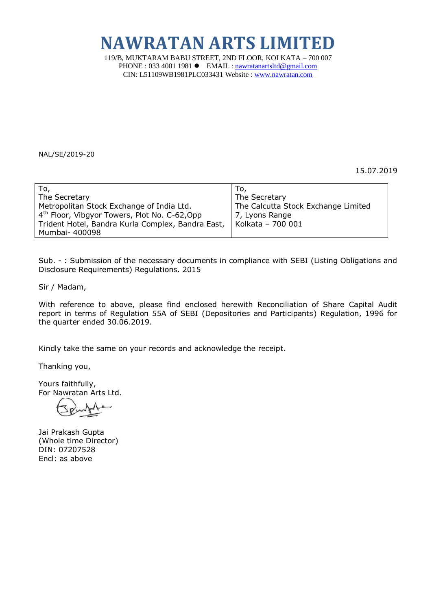## **NAWRATAN ARTS LIMITED**

119/B, MUKTARAM BABU STREET, 2ND FLOOR, KOLKATA – 700 007 PHONE : 033 4001 1981 ● EMAIL : [nawratanartsltd@gmail.com](mailto:nawratanartsltd@gmail.com) CIN: L51109WB1981PLC033431 Website : [www.nawratan.com](http://www.nawratan.com/)

NAL/SE/2019-20

15.07.2019

| To,                                                       | To,                                 |
|-----------------------------------------------------------|-------------------------------------|
| The Secretary                                             | The Secretary                       |
| Metropolitan Stock Exchange of India Ltd.                 | The Calcutta Stock Exchange Limited |
| 4 <sup>th</sup> Floor, Vibgyor Towers, Plot No. C-62, Opp | 7, Lyons Range                      |
| Trident Hotel, Bandra Kurla Complex, Bandra East,         | Kolkata - 700 001                   |
| Mumbai- 400098                                            |                                     |

Sub. - : Submission of the necessary documents in compliance with SEBI (Listing Obligations and Disclosure Requirements) Regulations. 2015

Sir / Madam,

With reference to above, please find enclosed herewith Reconciliation of Share Capital Audit report in terms of Regulation 55A of SEBI (Depositories and Participants) Regulation, 1996 for the quarter ended 30.06.2019.

Kindly take the same on your records and acknowledge the receipt.

Thanking you,

Yours faithfully, For Nawratan Arts Ltd.

Jai Prakash Gupta (Whole time Director) DIN: 07207528 Encl: as above